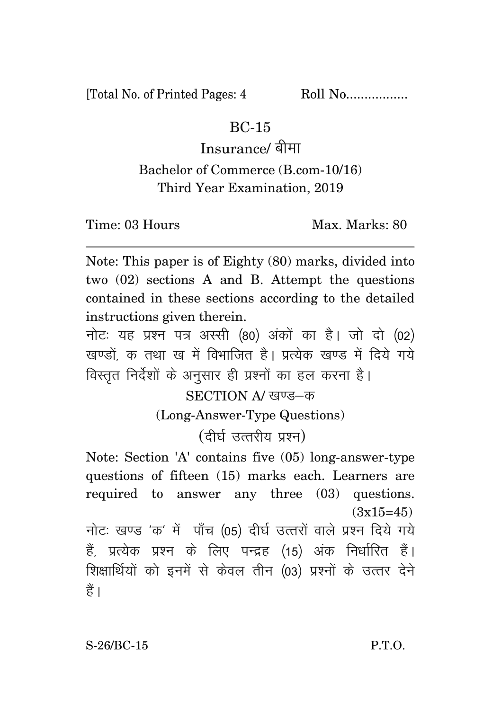[Total No. of Printed Pages: 4 Roll No.................

## BC-15

Insurance/ बीमा

## Bachelor of Commerce (B.com-10/16) Third Year Examination, 2019

Time: 03 Hours Max. Max. Marks: 80

Note: This paper is of Eighty (80) marks, divided into two (02) sections A and B. Attempt the questions contained in these sections according to the detailed instructions given therein.

नोट: यह प्रश्न पत्र अस्सी (80) अंकों का है। जो दो (02) खण्डों क तथा ख में विभाजित है। प्रत्येक खण्ड में दिये गये विस्तृत निर्देशों के अनुसार ही प्रश्नों का हल करना है।

> SECTION A/ खण्ड-क (Long-Answer-Type Questions)

> > $(f$ दीर्घ उत्तरीय प्रश्न)

Note: Section 'A' contains five (05) long-answer-type questions of fifteen (15) marks each. Learners are required to answer any three (03) questions.  $(3x15=45)$ नोटः खण्ड 'क' में पाँच (05) दीर्घ उत्तरों वाले प्रश्न दिये गये हैं, प्रत्येक प्रश्न के लिए पन्द्रह (15) अंक निर्धारित हैं।

शिक्षार्थियों को इनमें से केवल तीन (03) प्रश्नों के उत्तर देने हैं ।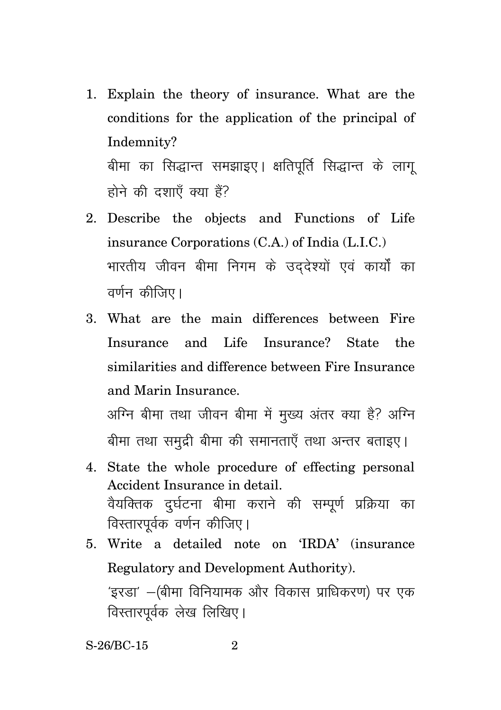- 1. Explain the theory of insurance. What are the conditions for the application of the principal of Indemnity? बीमा का सिद्धान्त समझाइए। क्षतिपर्ति सिद्धान्त के लाग होने की दशाएँ क्या हैं?
- 2. Describe the objects and Functions of Life insurance Corporations (C.A.) of India (L.I.C.) भारतीय जीवन बीमा निगम के उद्देश्यों एवं कार्यों का वर्णन कीजिए।
- 3. What are the main differences between Fire Insurance and Life Insurance? State the similarities and difference between Fire Insurance and Marin Insurance.

अग्नि बीमा तथा जीवन बीमा में मख्य अंतर क्या है? अग्नि बीमा तथा समुद्री बीमा की समानताएँ तथा अन्तर बताइए।

- 4. State the whole procedure of effecting personal Accident Insurance in detail. वैयक्तिक दुर्घटना बीमा कराने की सम्पूर्ण प्रक्रिया का विस्तारपूर्वक वर्णन कीजिए।
- 5. Write a detailed note on 'IRDA' (insurance Regulatory and Development Authority). 'इरडा' —(बीमा विनियामक और विकास प्राधिकरण) पर एक विस्तारपर्वक लेख लिखिए।

S-26/BC-15 2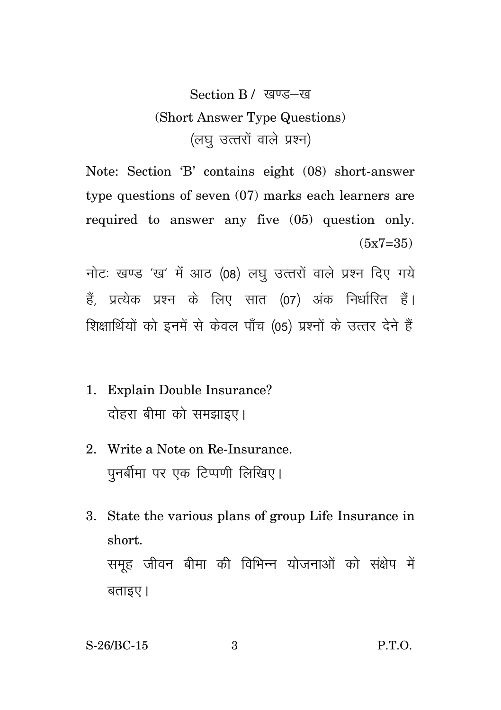## Section B / खण्ड-ख (Short Answer Type Questions) (लघु उत्तरों वाले प्रश्न)

Note: Section 'B' contains eight (08) short-answer type questions of seven (07) marks each learners are required to answer any five (05) question only.  $(5x7=35)$ 

नोटः खण्ड 'ख' में आठ (08) लघु उत्तरों वाले प्रश्न दिए गये हैं, प्रत्येक प्रश्न के लिए सात (07) अंक निर्धारित हैं। शिक्षार्थियों को इनमें से केवल पाँच (05) प्रश्नों के उत्तर देने हैं

- 1. Explain Double Insurance? दोहरा बीमा को समझाइए।
- 2. Write a Note on Re-Insurance. पुनर्बीमा पर एक टिप्पणी लिखिए।
- 3. State the various plans of group Life Insurance in short. समूह जीवन बीमा की विभिन्न योजनाओं को संक्षेप में  $q$ ताइए।